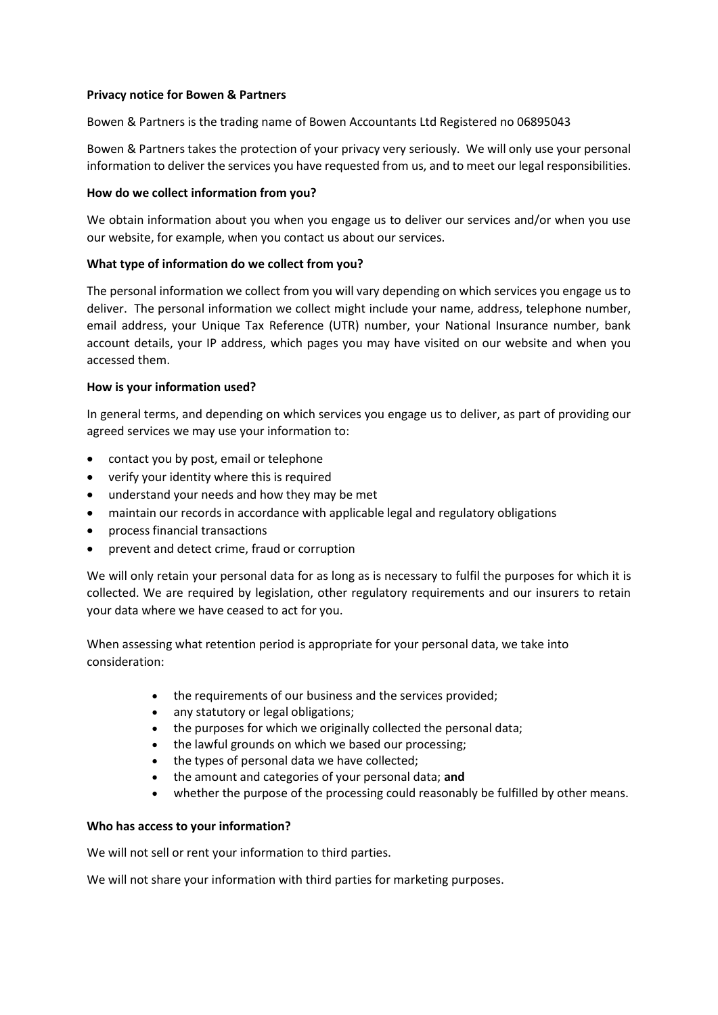### **Privacy notice for Bowen & Partners**

Bowen & Partners is the trading name of Bowen Accountants Ltd Registered no 06895043

Bowen & Partners takes the protection of your privacy very seriously. We will only use your personal information to deliver the services you have requested from us, and to meet our legal responsibilities.

### **How do we collect information from you?**

We obtain information about you when you engage us to deliver our services and/or when you use our website, for example, when you contact us about our services.

## **What type of information do we collect from you?**

The personal information we collect from you will vary depending on which services you engage us to deliver. The personal information we collect might include your name, address, telephone number, email address, your Unique Tax Reference (UTR) number, your National Insurance number, bank account details, your IP address, which pages you may have visited on our website and when you accessed them.

### **How is your information used?**

In general terms, and depending on which services you engage us to deliver, as part of providing our agreed services we may use your information to:

- contact you by post, email or telephone
- verify your identity where this is required
- understand your needs and how they may be met
- maintain our records in accordance with applicable legal and regulatory obligations
- process financial transactions
- prevent and detect crime, fraud or corruption

We will only retain your personal data for as long as is necessary to fulfil the purposes for which it is collected. We are required by legislation, other regulatory requirements and our insurers to retain your data where we have ceased to act for you.

When assessing what retention period is appropriate for your personal data, we take into consideration:

- the requirements of our business and the services provided;
- any statutory or legal obligations;
- the purposes for which we originally collected the personal data;
- the lawful grounds on which we based our processing;
- the types of personal data we have collected;
- the amount and categories of your personal data; **and**
- whether the purpose of the processing could reasonably be fulfilled by other means.

### **Who has access to your information?**

We will not sell or rent your information to third parties.

We will not share your information with third parties for marketing purposes.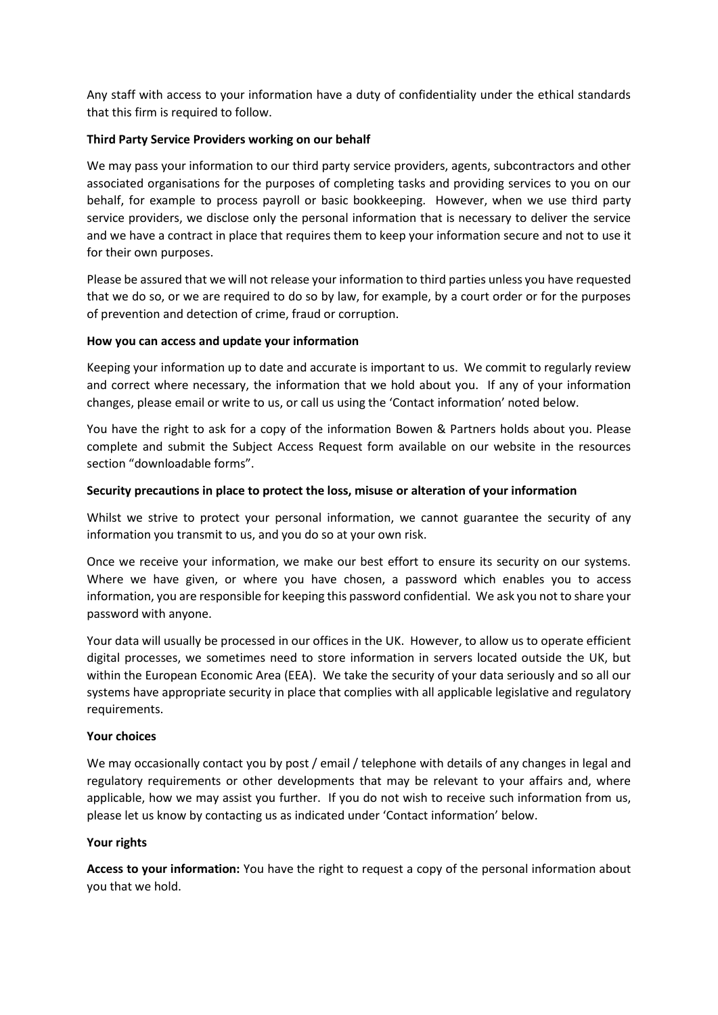Any staff with access to your information have a duty of confidentiality under the ethical standards that this firm is required to follow.

## **Third Party Service Providers working on our behalf**

We may pass your information to our third party service providers, agents, subcontractors and other associated organisations for the purposes of completing tasks and providing services to you on our behalf, for example to process payroll or basic bookkeeping. However, when we use third party service providers, we disclose only the personal information that is necessary to deliver the service and we have a contract in place that requires them to keep your information secure and not to use it for their own purposes.

Please be assured that we will not release your information to third parties unless you have requested that we do so, or we are required to do so by law, for example, by a court order or for the purposes of prevention and detection of crime, fraud or corruption.

### **How you can access and update your information**

Keeping your information up to date and accurate is important to us. We commit to regularly review and correct where necessary, the information that we hold about you. If any of your information changes, please email or write to us, or call us using the 'Contact information' noted below.

You have the right to ask for a copy of the information Bowen & Partners holds about you. Please complete and submit the Subject Access Request form available on our website in the resources section "downloadable forms".

## **Security precautions in place to protect the loss, misuse or alteration of your information**

Whilst we strive to protect your personal information, we cannot guarantee the security of any information you transmit to us, and you do so at your own risk.

Once we receive your information, we make our best effort to ensure its security on our systems. Where we have given, or where you have chosen, a password which enables you to access information, you are responsible for keeping this password confidential. We ask you not to share your password with anyone.

Your data will usually be processed in our offices in the UK. However, to allow us to operate efficient digital processes, we sometimes need to store information in servers located outside the UK, but within the European Economic Area (EEA). We take the security of your data seriously and so all our systems have appropriate security in place that complies with all applicable legislative and regulatory requirements.

### **Your choices**

We may occasionally contact you by post / email / telephone with details of any changes in legal and regulatory requirements or other developments that may be relevant to your affairs and, where applicable, how we may assist you further. If you do not wish to receive such information from us, please let us know by contacting us as indicated under 'Contact information' below.

### **Your rights**

**Access to your information:** You have the right to request a copy of the personal information about you that we hold.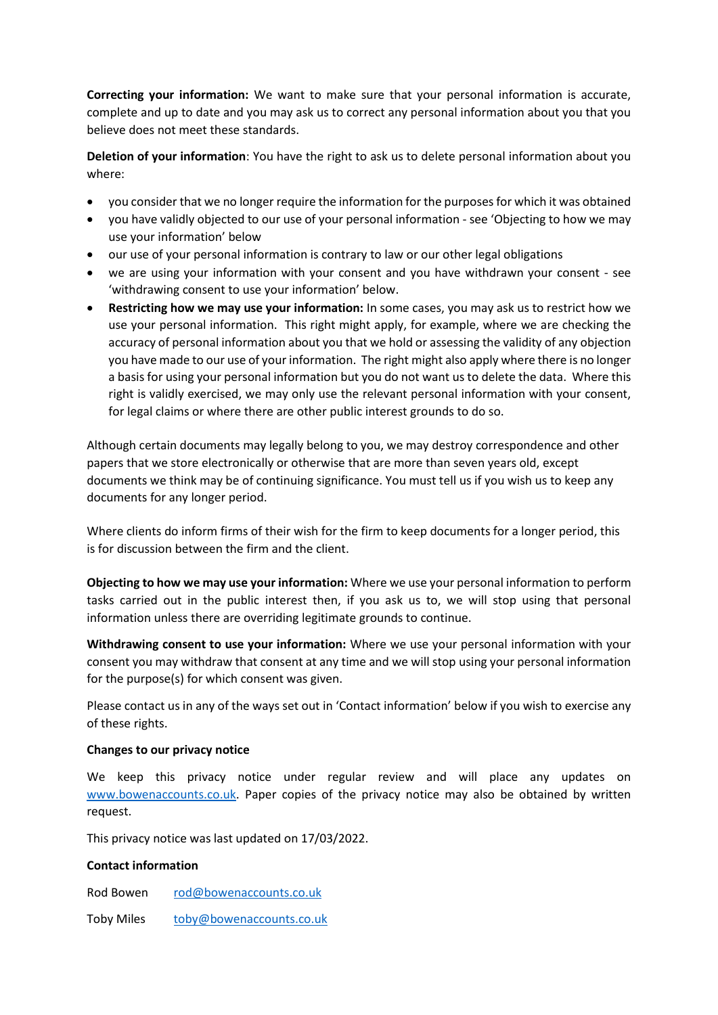**Correcting your information:** We want to make sure that your personal information is accurate, complete and up to date and you may ask us to correct any personal information about you that you believe does not meet these standards.

**Deletion of your information**: You have the right to ask us to delete personal information about you where:

- you consider that we no longer require the information for the purposes for which it was obtained
- you have validly objected to our use of your personal information see 'Objecting to how we may use your information' below
- our use of your personal information is contrary to law or our other legal obligations
- we are using your information with your consent and you have withdrawn your consent see 'withdrawing consent to use your information' below.
- **Restricting how we may use your information:** In some cases, you may ask us to restrict how we use your personal information. This right might apply, for example, where we are checking the accuracy of personal information about you that we hold or assessing the validity of any objection you have made to our use of your information. The right might also apply where there is no longer a basis for using your personal information but you do not want us to delete the data. Where this right is validly exercised, we may only use the relevant personal information with your consent, for legal claims or where there are other public interest grounds to do so.

Although certain documents may legally belong to you, we may destroy correspondence and other papers that we store electronically or otherwise that are more than seven years old, except documents we think may be of continuing significance. You must tell us if you wish us to keep any documents for any longer period.

Where clients do inform firms of their wish for the firm to keep documents for a longer period, this is for discussion between the firm and the client.

**Objecting to how we may use your information:** Where we use your personal information to perform tasks carried out in the public interest then, if you ask us to, we will stop using that personal information unless there are overriding legitimate grounds to continue.

**Withdrawing consent to use your information:** Where we use your personal information with your consent you may withdraw that consent at any time and we will stop using your personal information for the purpose(s) for which consent was given.

Please contact us in any of the ways set out in 'Contact information' below if you wish to exercise any of these rights.

### **Changes to our privacy notice**

We keep this privacy notice under regular review and will place any updates on [www.bowenaccounts.co.uk.](http://www.bowenaccounts.co.uk/) Paper copies of the privacy notice may also be obtained by written request.

This privacy notice was last updated on 17/03/2022.

# **Contact information**

Rod Bowen [rod@bowenaccounts.co.uk](mailto:rod@bowenaccounts.co.uk)

Toby Miles [toby@bowenaccounts.co.uk](mailto:toby@bowenaccounts.co.uk)